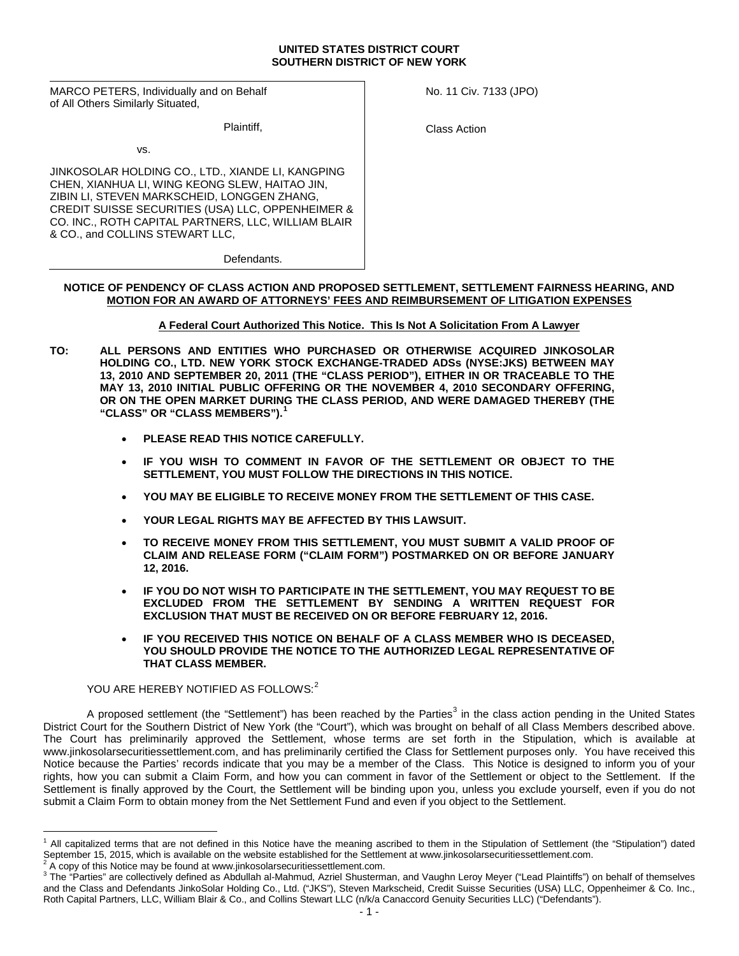#### **UNITED STATES DISTRICT COURT SOUTHERN DISTRICT OF NEW YORK**

MARCO PETERS, Individually and on Behalf of All Others Similarly Situated,

Plaintiff,

vs.

JINKOSOLAR HOLDING CO., LTD., XIANDE LI, KANGPING CHEN, XIANHUA LI, WING KEONG SLEW, HAITAO JIN, ZIBIN LI, STEVEN MARKSCHEID, LONGGEN ZHANG, CREDIT SUISSE SECURITIES (USA) LLC, OPPENHEIMER & CO. INC., ROTH CAPITAL PARTNERS, LLC, WILLIAM BLAIR & CO., and COLLINS STEWART LLC,

No. 11 Civ. 7133 (JPO)

Class Action

**Defendants** 

# **NOTICE OF PENDENCY OF CLASS ACTION AND PROPOSED SETTLEMENT, SETTLEMENT FAIRNESS HEARING, AND MOTION FOR AN AWARD OF ATTORNEYS' FEES AND REIMBURSEMENT OF LITIGATION EXPENSES**

# **A Federal Court Authorized This Notice. This Is Not A Solicitation From A Lawyer**

- **TO: ALL PERSONS AND ENTITIES WHO PURCHASED OR OTHERWISE ACQUIRED JINKOSOLAR HOLDING CO., LTD. NEW YORK STOCK EXCHANGE-TRADED ADSs (NYSE:JKS) BETWEEN MAY 13, 2010 AND SEPTEMBER 20, 2011 (THE "CLASS PERIOD"), EITHER IN OR TRACEABLE TO THE MAY 13, 2010 INITIAL PUBLIC OFFERING OR THE NOVEMBER 4, 2010 SECONDARY OFFERING, OR ON THE OPEN MARKET DURING THE CLASS PERIOD, AND WERE DAMAGED THEREBY (THE "CLASS" OR "CLASS MEMBERS").[1](#page-0-0)**
	- **PLEASE READ THIS NOTICE CAREFULLY.**
	- **IF YOU WISH TO COMMENT IN FAVOR OF THE SETTLEMENT OR OBJECT TO THE SETTLEMENT, YOU MUST FOLLOW THE DIRECTIONS IN THIS NOTICE.**
	- **YOU MAY BE ELIGIBLE TO RECEIVE MONEY FROM THE SETTLEMENT OF THIS CASE.**
	- **YOUR LEGAL RIGHTS MAY BE AFFECTED BY THIS LAWSUIT.**
	- **TO RECEIVE MONEY FROM THIS SETTLEMENT, YOU MUST SUBMIT A VALID PROOF OF CLAIM AND RELEASE FORM ("CLAIM FORM") POSTMARKED ON OR BEFORE JANUARY 12, 2016.**
	- **IF YOU DO NOT WISH TO PARTICIPATE IN THE SETTLEMENT, YOU MAY REQUEST TO BE EXCLUDED FROM THE SETTLEMENT BY SENDING A WRITTEN REQUEST FOR EXCLUSION THAT MUST BE RECEIVED ON OR BEFORE FEBRUARY 12, 2016.**
	- **IF YOU RECEIVED THIS NOTICE ON BEHALF OF A CLASS MEMBER WHO IS DECEASED, YOU SHOULD PROVIDE THE NOTICE TO THE AUTHORIZED LEGAL REPRESENTATIVE OF THAT CLASS MEMBER.**

# YOU ARE HEREBY NOTIFIED AS FOLLOWS:<sup>[2](#page-0-1)</sup>

A proposed settlement (the "Settlement") has been reached by the Parties<sup>[3](#page-0-2)</sup> in the class action pending in the United States District Court for the Southern District of New York (the "Court"), which was brought on behalf of all Class Members described above. The Court has preliminarily approved the Settlement, whose terms are set forth in the Stipulation, which is available at www.jinkosolarsecuritiessettlement.com, and has preliminarily certified the Class for Settlement purposes only. You have received this Notice because the Parties' records indicate that you may be a member of the Class. This Notice is designed to inform you of your rights, how you can submit a Claim Form, and how you can comment in favor of the Settlement or object to the Settlement. If the Settlement is finally approved by the Court, the Settlement will be binding upon you, unless you exclude yourself, even if you do not submit a Claim Form to obtain money from the Net Settlement Fund and even if you object to the Settlement.

 $\overline{a}$ 

<span id="page-0-0"></span> $<sup>1</sup>$  All capitalized terms that are not defined in this Notice have the meaning ascribed to them in the Stipulation of Settlement (the "Stipulation") dated</sup> September 15, 2015, which is available on the website established for the Settlement at www.jinkosolarsecuritiessettlement.com.  $^2$  A copy of this Notice may be found at www.jinkosolarsecuritiessettlement.com.

<span id="page-0-1"></span>

<span id="page-0-2"></span><sup>&</sup>lt;sup>3</sup> The "Parties" are collectively defined as Abdullah al-Mahmud, Azriel Shusterman, and Vaughn Leroy Meyer ("Lead Plaintiffs") on behalf of themselves and the Class and Defendants JinkoSolar Holding Co., Ltd. ("JKS"), Steven Markscheid, Credit Suisse Securities (USA) LLC, Oppenheimer & Co. Inc., Roth Capital Partners, LLC, William Blair & Co., and Collins Stewart LLC (n/k/a Canaccord Genuity Securities LLC) ("Defendants").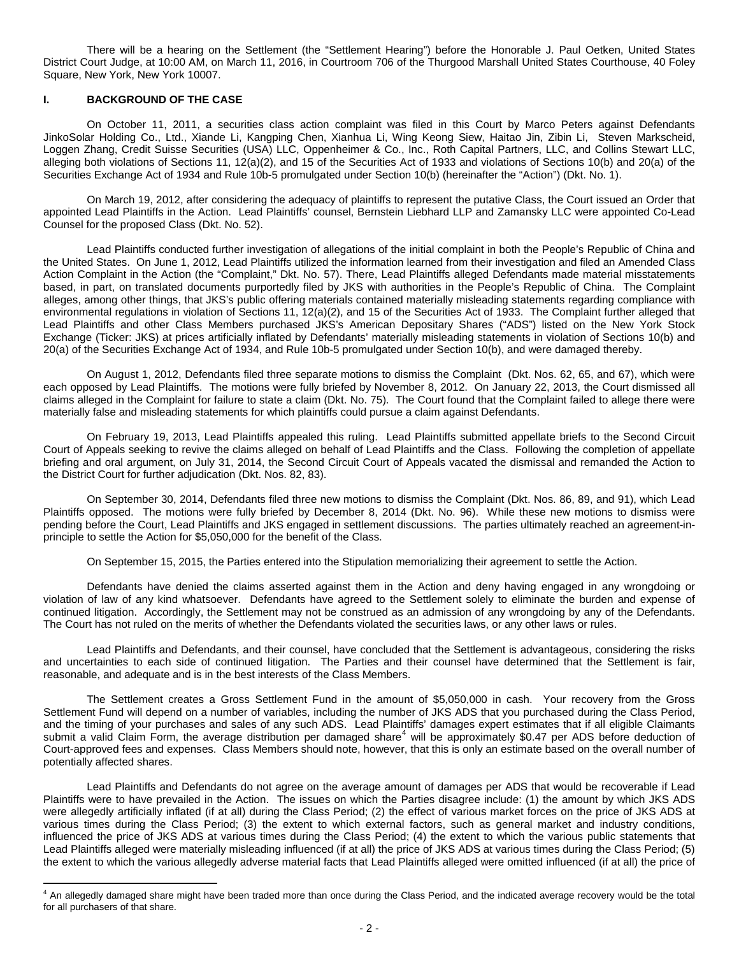There will be a hearing on the Settlement (the "Settlement Hearing") before the Honorable J. Paul Oetken, United States District Court Judge, at 10:00 AM, on March 11, 2016, in Courtroom 706 of the Thurgood Marshall United States Courthouse, 40 Foley Square, New York, New York 10007.

### **I. BACKGROUND OF THE CASE**

 $\overline{a}$ 

On October 11, 2011, a securities class action complaint was filed in this Court by Marco Peters against Defendants JinkoSolar Holding Co., Ltd., Xiande Li, Kangping Chen, Xianhua Li, Wing Keong Siew, Haitao Jin, Zibin Li, Steven Markscheid, Loggen Zhang, Credit Suisse Securities (USA) LLC, Oppenheimer & Co., Inc., Roth Capital Partners, LLC, and Collins Stewart LLC, alleging both violations of Sections 11, 12(a)(2), and 15 of the Securities Act of 1933 and violations of Sections 10(b) and 20(a) of the Securities Exchange Act of 1934 and Rule 10b-5 promulgated under Section 10(b) (hereinafter the "Action") (Dkt. No. 1).

On March 19, 2012, after considering the adequacy of plaintiffs to represent the putative Class, the Court issued an Order that appointed Lead Plaintiffs in the Action. Lead Plaintiffs' counsel, Bernstein Liebhard LLP and Zamansky LLC were appointed Co-Lead Counsel for the proposed Class (Dkt. No. 52).

Lead Plaintiffs conducted further investigation of allegations of the initial complaint in both the People's Republic of China and the United States. On June 1, 2012, Lead Plaintiffs utilized the information learned from their investigation and filed an Amended Class Action Complaint in the Action (the "Complaint," Dkt. No. 57). There, Lead Plaintiffs alleged Defendants made material misstatements based, in part, on translated documents purportedly filed by JKS with authorities in the People's Republic of China. The Complaint alleges, among other things, that JKS's public offering materials contained materially misleading statements regarding compliance with environmental regulations in violation of Sections 11, 12(a)(2), and 15 of the Securities Act of 1933. The Complaint further alleged that Lead Plaintiffs and other Class Members purchased JKS's American Depositary Shares ("ADS") listed on the New York Stock Exchange (Ticker: JKS) at prices artificially inflated by Defendants' materially misleading statements in violation of Sections 10(b) and 20(a) of the Securities Exchange Act of 1934, and Rule 10b-5 promulgated under Section 10(b), and were damaged thereby.

On August 1, 2012, Defendants filed three separate motions to dismiss the Complaint (Dkt. Nos. 62, 65, and 67), which were each opposed by Lead Plaintiffs. The motions were fully briefed by November 8, 2012. On January 22, 2013, the Court dismissed all claims alleged in the Complaint for failure to state a claim (Dkt. No. 75). The Court found that the Complaint failed to allege there were materially false and misleading statements for which plaintiffs could pursue a claim against Defendants.

On February 19, 2013, Lead Plaintiffs appealed this ruling. Lead Plaintiffs submitted appellate briefs to the Second Circuit Court of Appeals seeking to revive the claims alleged on behalf of Lead Plaintiffs and the Class. Following the completion of appellate briefing and oral argument, on July 31, 2014, the Second Circuit Court of Appeals vacated the dismissal and remanded the Action to the District Court for further adjudication (Dkt. Nos. 82, 83).

On September 30, 2014, Defendants filed three new motions to dismiss the Complaint (Dkt. Nos. 86, 89, and 91), which Lead Plaintiffs opposed. The motions were fully briefed by December 8, 2014 (Dkt. No. 96). While these new motions to dismiss were pending before the Court, Lead Plaintiffs and JKS engaged in settlement discussions. The parties ultimately reached an agreement-inprinciple to settle the Action for \$5,050,000 for the benefit of the Class.

On September 15, 2015, the Parties entered into the Stipulation memorializing their agreement to settle the Action.

Defendants have denied the claims asserted against them in the Action and deny having engaged in any wrongdoing or violation of law of any kind whatsoever. Defendants have agreed to the Settlement solely to eliminate the burden and expense of continued litigation. Accordingly, the Settlement may not be construed as an admission of any wrongdoing by any of the Defendants. The Court has not ruled on the merits of whether the Defendants violated the securities laws, or any other laws or rules.

Lead Plaintiffs and Defendants, and their counsel, have concluded that the Settlement is advantageous, considering the risks and uncertainties to each side of continued litigation. The Parties and their counsel have determined that the Settlement is fair, reasonable, and adequate and is in the best interests of the Class Members.

The Settlement creates a Gross Settlement Fund in the amount of \$5,050,000 in cash. Your recovery from the Gross Settlement Fund will depend on a number of variables, including the number of JKS ADS that you purchased during the Class Period, and the timing of your purchases and sales of any such ADS. Lead Plaintiffs' damages expert estimates that if all eligible Claimants submit a valid Claim Form, the average distribution per damaged share<sup>[4](#page-1-0)</sup> will be approximately \$0.47 per ADS before deduction of Court-approved fees and expenses. Class Members should note, however, that this is only an estimate based on the overall number of potentially affected shares.

Lead Plaintiffs and Defendants do not agree on the average amount of damages per ADS that would be recoverable if Lead Plaintiffs were to have prevailed in the Action. The issues on which the Parties disagree include: (1) the amount by which JKS ADS were allegedly artificially inflated (if at all) during the Class Period; (2) the effect of various market forces on the price of JKS ADS at various times during the Class Period; (3) the extent to which external factors, such as general market and industry conditions, influenced the price of JKS ADS at various times during the Class Period; (4) the extent to which the various public statements that Lead Plaintiffs alleged were materially misleading influenced (if at all) the price of JKS ADS at various times during the Class Period; (5) the extent to which the various allegedly adverse material facts that Lead Plaintiffs alleged were omitted influenced (if at all) the price of

<span id="page-1-0"></span><sup>&</sup>lt;sup>4</sup> An allegedly damaged share might have been traded more than once during the Class Period, and the indicated average recovery would be the total for all purchasers of that share.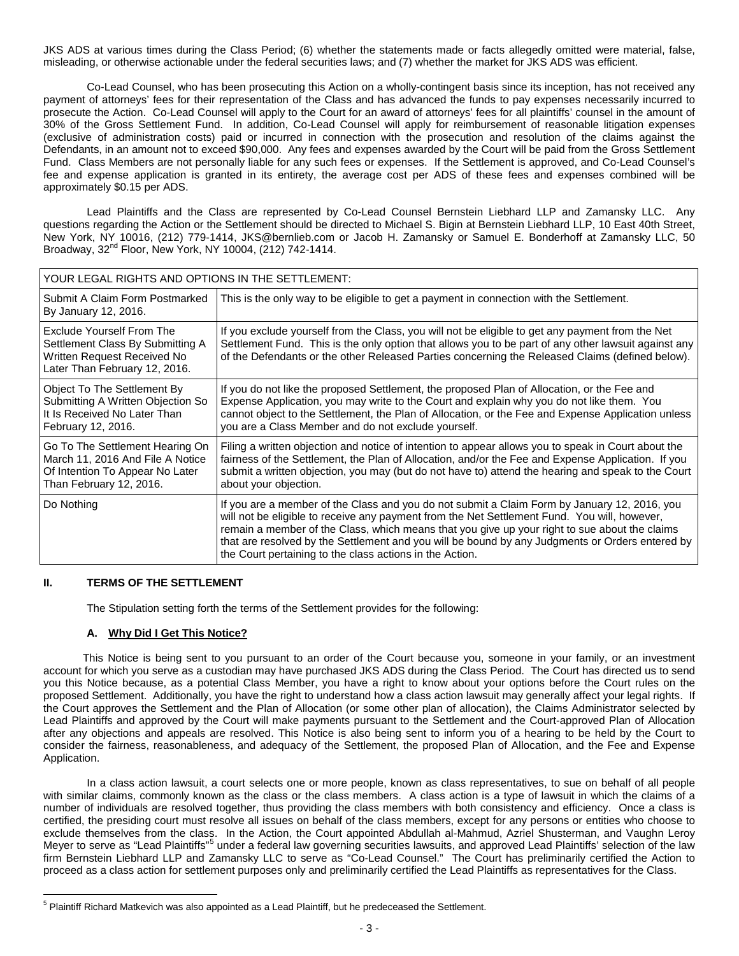JKS ADS at various times during the Class Period; (6) whether the statements made or facts allegedly omitted were material, false, misleading, or otherwise actionable under the federal securities laws; and (7) whether the market for JKS ADS was efficient.

Co-Lead Counsel, who has been prosecuting this Action on a wholly-contingent basis since its inception, has not received any payment of attorneys' fees for their representation of the Class and has advanced the funds to pay expenses necessarily incurred to prosecute the Action. Co-Lead Counsel will apply to the Court for an award of attorneys' fees for all plaintiffs' counsel in the amount of 30% of the Gross Settlement Fund. In addition, Co-Lead Counsel will apply for reimbursement of reasonable litigation expenses (exclusive of administration costs) paid or incurred in connection with the prosecution and resolution of the claims against the Defendants, in an amount not to exceed \$90,000. Any fees and expenses awarded by the Court will be paid from the Gross Settlement Fund. Class Members are not personally liable for any such fees or expenses. If the Settlement is approved, and Co-Lead Counsel's fee and expense application is granted in its entirety, the average cost per ADS of these fees and expenses combined will be approximately \$0.15 per ADS.

Lead Plaintiffs and the Class are represented by Co-Lead Counsel Bernstein Liebhard LLP and Zamansky LLC. Any questions regarding the Action or the Settlement should be directed to Michael S. Bigin at Bernstein Liebhard LLP, 10 East 40th Street, New York, NY 10016, (212) 779-1414, JKS@bernlieb.com or Jacob H. Zamansky or Samuel E. Bonderhoff at Zamansky LLC, 50<br>Broadway, 32<sup>nd</sup> Floor, New York, NY 10004, (212) 742-1414.

| YOUR LEGAL RIGHTS AND OPTIONS IN THE SETTLEMENT:                                                                                     |                                                                                                                                                                                                                                                                                                                                                                                                                                                              |  |  |  |
|--------------------------------------------------------------------------------------------------------------------------------------|--------------------------------------------------------------------------------------------------------------------------------------------------------------------------------------------------------------------------------------------------------------------------------------------------------------------------------------------------------------------------------------------------------------------------------------------------------------|--|--|--|
| Submit A Claim Form Postmarked<br>By January 12, 2016.                                                                               | This is the only way to be eligible to get a payment in connection with the Settlement.                                                                                                                                                                                                                                                                                                                                                                      |  |  |  |
| <b>Exclude Yourself From The</b><br>Settlement Class By Submitting A<br>Written Request Received No<br>Later Than February 12, 2016. | If you exclude yourself from the Class, you will not be eligible to get any payment from the Net<br>Settlement Fund. This is the only option that allows you to be part of any other lawsuit against any<br>of the Defendants or the other Released Parties concerning the Released Claims (defined below).                                                                                                                                                  |  |  |  |
| Object To The Settlement By<br>Submitting A Written Objection So<br>It Is Received No Later Than<br>February 12, 2016.               | If you do not like the proposed Settlement, the proposed Plan of Allocation, or the Fee and<br>Expense Application, you may write to the Court and explain why you do not like them. You<br>cannot object to the Settlement, the Plan of Allocation, or the Fee and Expense Application unless<br>you are a Class Member and do not exclude yourself.                                                                                                        |  |  |  |
| Go To The Settlement Hearing On<br>March 11, 2016 And File A Notice<br>Of Intention To Appear No Later<br>Than February 12, 2016.    | Filing a written objection and notice of intention to appear allows you to speak in Court about the<br>fairness of the Settlement, the Plan of Allocation, and/or the Fee and Expense Application. If you<br>submit a written objection, you may (but do not have to) attend the hearing and speak to the Court<br>about your objection.                                                                                                                     |  |  |  |
| Do Nothing                                                                                                                           | If you are a member of the Class and you do not submit a Claim Form by January 12, 2016, you<br>will not be eligible to receive any payment from the Net Settlement Fund. You will, however,<br>remain a member of the Class, which means that you give up your right to sue about the claims<br>that are resolved by the Settlement and you will be bound by any Judgments or Orders entered by<br>the Court pertaining to the class actions in the Action. |  |  |  |

#### **II. TERMS OF THE SETTLEMENT**

The Stipulation setting forth the terms of the Settlement provides for the following:

### **A. Why Did I Get This Notice?**

 This Notice is being sent to you pursuant to an order of the Court because you, someone in your family, or an investment account for which you serve as a custodian may have purchased JKS ADS during the Class Period. The Court has directed us to send you this Notice because, as a potential Class Member, you have a right to know about your options before the Court rules on the proposed Settlement. Additionally, you have the right to understand how a class action lawsuit may generally affect your legal rights. If the Court approves the Settlement and the Plan of Allocation (or some other plan of allocation), the Claims Administrator selected by Lead Plaintiffs and approved by the Court will make payments pursuant to the Settlement and the Court-approved Plan of Allocation after any objections and appeals are resolved. This Notice is also being sent to inform you of a hearing to be held by the Court to consider the fairness, reasonableness, and adequacy of the Settlement, the proposed Plan of Allocation, and the Fee and Expense Application.

In a class action lawsuit, a court selects one or more people, known as class representatives, to sue on behalf of all people with similar claims, commonly known as the class or the class members. A class action is a type of lawsuit in which the claims of a number of individuals are resolved together, thus providing the class members with both consistency and efficiency. Once a class is certified, the presiding court must resolve all issues on behalf of the class members, except for any persons or entities who choose to exclude themselves from the class. In the Action, the Court appointed Abdullah al-Mahmud, Azriel Shusterman, and Vaughn Leroy Mever to serve as "Lead Plaintiffs"<sup>[5](#page-2-0)</sup> under a federal law governing securities lawsuits, and approved Lead Plaintiffs' selection of the law firm Bernstein Liebhard LLP and Zamansky LLC to serve as "Co-Lead Counsel." The Court has preliminarily certified the Action to proceed as a class action for settlement purposes only and preliminarily certified the Lead Plaintiffs as representatives for the Class.

<span id="page-2-0"></span><sup>&</sup>lt;sup>5</sup> Plaintiff Richard Matkevich was also appointed as a Lead Plaintiff, but he predeceased the Settlement.  $\overline{a}$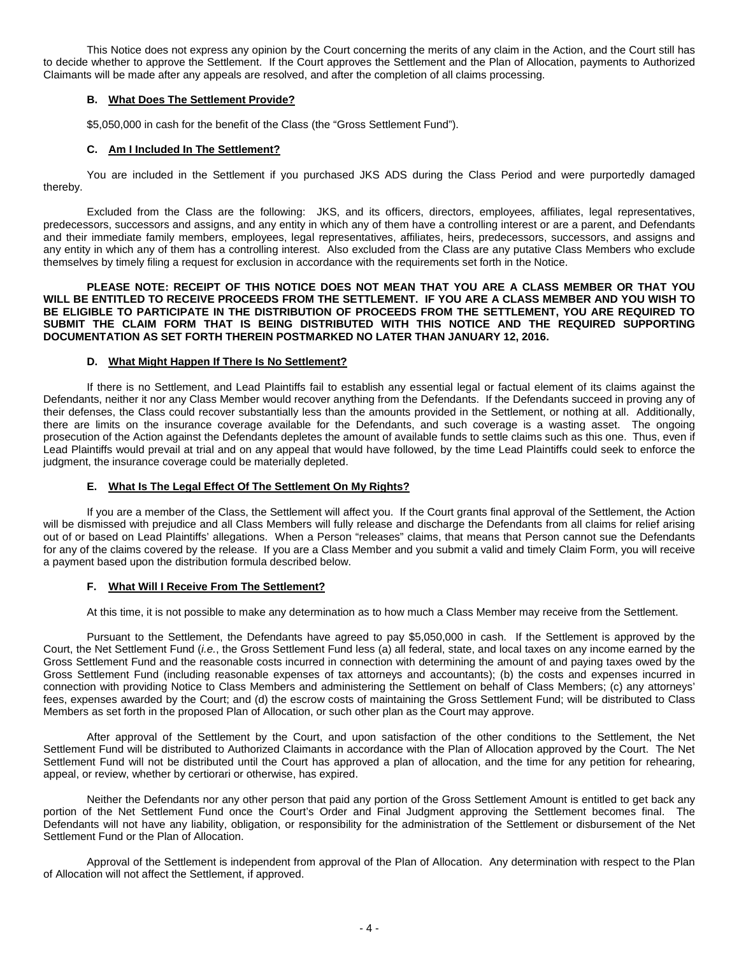This Notice does not express any opinion by the Court concerning the merits of any claim in the Action, and the Court still has to decide whether to approve the Settlement. If the Court approves the Settlement and the Plan of Allocation, payments to Authorized Claimants will be made after any appeals are resolved, and after the completion of all claims processing.

# **B. What Does The Settlement Provide?**

\$5,050,000 in cash for the benefit of the Class (the "Gross Settlement Fund").

### **C. Am I Included In The Settlement?**

You are included in the Settlement if you purchased JKS ADS during the Class Period and were purportedly damaged thereby.

Excluded from the Class are the following: JKS, and its officers, directors, employees, affiliates, legal representatives, predecessors, successors and assigns, and any entity in which any of them have a controlling interest or are a parent, and Defendants and their immediate family members, employees, legal representatives, affiliates, heirs, predecessors, successors, and assigns and any entity in which any of them has a controlling interest. Also excluded from the Class are any putative Class Members who exclude themselves by timely filing a request for exclusion in accordance with the requirements set forth in the Notice.

**PLEASE NOTE: RECEIPT OF THIS NOTICE DOES NOT MEAN THAT YOU ARE A CLASS MEMBER OR THAT YOU WILL BE ENTITLED TO RECEIVE PROCEEDS FROM THE SETTLEMENT. IF YOU ARE A CLASS MEMBER AND YOU WISH TO BE ELIGIBLE TO PARTICIPATE IN THE DISTRIBUTION OF PROCEEDS FROM THE SETTLEMENT, YOU ARE REQUIRED TO SUBMIT THE CLAIM FORM THAT IS BEING DISTRIBUTED WITH THIS NOTICE AND THE REQUIRED SUPPORTING DOCUMENTATION AS SET FORTH THEREIN POSTMARKED NO LATER THAN JANUARY 12, 2016.**

#### **D. What Might Happen If There Is No Settlement?**

If there is no Settlement, and Lead Plaintiffs fail to establish any essential legal or factual element of its claims against the Defendants, neither it nor any Class Member would recover anything from the Defendants. If the Defendants succeed in proving any of their defenses, the Class could recover substantially less than the amounts provided in the Settlement, or nothing at all. Additionally, there are limits on the insurance coverage available for the Defendants, and such coverage is a wasting asset. The ongoing prosecution of the Action against the Defendants depletes the amount of available funds to settle claims such as this one. Thus, even if Lead Plaintiffs would prevail at trial and on any appeal that would have followed, by the time Lead Plaintiffs could seek to enforce the judgment, the insurance coverage could be materially depleted.

### **E. What Is The Legal Effect Of The Settlement On My Rights?**

If you are a member of the Class, the Settlement will affect you. If the Court grants final approval of the Settlement, the Action will be dismissed with prejudice and all Class Members will fully release and discharge the Defendants from all claims for relief arising out of or based on Lead Plaintiffs' allegations. When a Person "releases" claims, that means that Person cannot sue the Defendants for any of the claims covered by the release. If you are a Class Member and you submit a valid and timely Claim Form, you will receive a payment based upon the distribution formula described below.

#### **F. What Will I Receive From The Settlement?**

At this time, it is not possible to make any determination as to how much a Class Member may receive from the Settlement.

Pursuant to the Settlement, the Defendants have agreed to pay \$5,050,000 in cash. If the Settlement is approved by the Court, the Net Settlement Fund (*i.e.*, the Gross Settlement Fund less (a) all federal, state, and local taxes on any income earned by the Gross Settlement Fund and the reasonable costs incurred in connection with determining the amount of and paying taxes owed by the Gross Settlement Fund (including reasonable expenses of tax attorneys and accountants); (b) the costs and expenses incurred in connection with providing Notice to Class Members and administering the Settlement on behalf of Class Members; (c) any attorneys' fees, expenses awarded by the Court; and (d) the escrow costs of maintaining the Gross Settlement Fund; will be distributed to Class Members as set forth in the proposed Plan of Allocation, or such other plan as the Court may approve.

After approval of the Settlement by the Court, and upon satisfaction of the other conditions to the Settlement, the Net Settlement Fund will be distributed to Authorized Claimants in accordance with the Plan of Allocation approved by the Court. The Net Settlement Fund will not be distributed until the Court has approved a plan of allocation, and the time for any petition for rehearing, appeal, or review, whether by certiorari or otherwise, has expired.

Neither the Defendants nor any other person that paid any portion of the Gross Settlement Amount is entitled to get back any portion of the Net Settlement Fund once the Court's Order and Final Judgment approving the Settlement becomes final. The Defendants will not have any liability, obligation, or responsibility for the administration of the Settlement or disbursement of the Net Settlement Fund or the Plan of Allocation.

Approval of the Settlement is independent from approval of the Plan of Allocation. Any determination with respect to the Plan of Allocation will not affect the Settlement, if approved.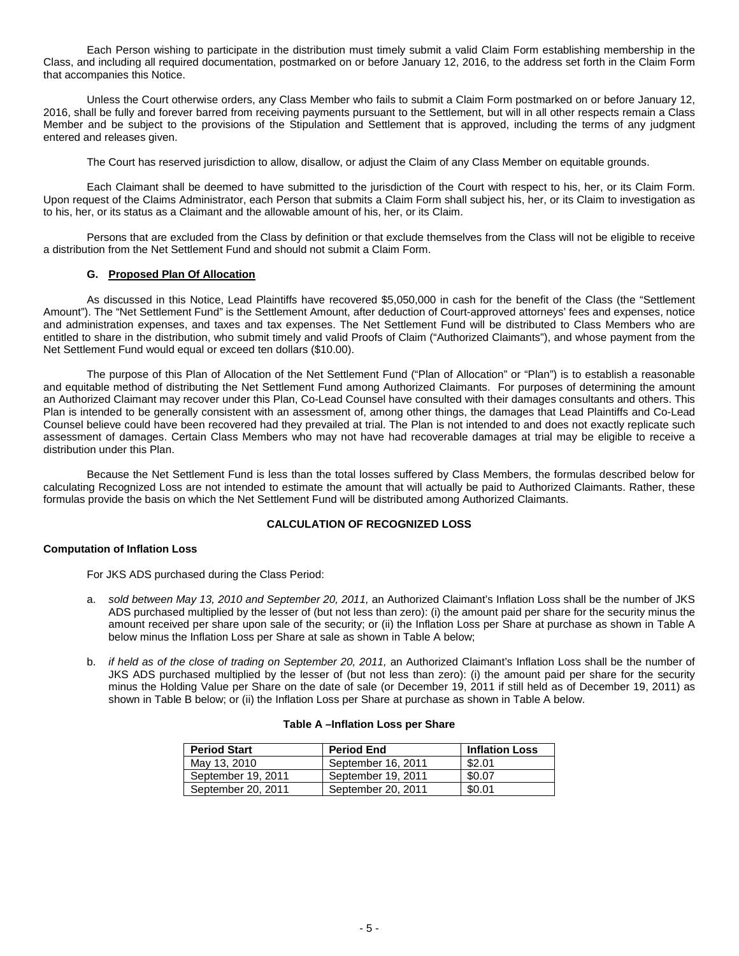Each Person wishing to participate in the distribution must timely submit a valid Claim Form establishing membership in the Class, and including all required documentation, postmarked on or before January 12, 2016, to the address set forth in the Claim Form that accompanies this Notice.

Unless the Court otherwise orders, any Class Member who fails to submit a Claim Form postmarked on or before January 12, 2016, shall be fully and forever barred from receiving payments pursuant to the Settlement, but will in all other respects remain a Class Member and be subject to the provisions of the Stipulation and Settlement that is approved, including the terms of any judgment entered and releases given.

The Court has reserved jurisdiction to allow, disallow, or adjust the Claim of any Class Member on equitable grounds.

Each Claimant shall be deemed to have submitted to the jurisdiction of the Court with respect to his, her, or its Claim Form. Upon request of the Claims Administrator, each Person that submits a Claim Form shall subject his, her, or its Claim to investigation as to his, her, or its status as a Claimant and the allowable amount of his, her, or its Claim.

Persons that are excluded from the Class by definition or that exclude themselves from the Class will not be eligible to receive a distribution from the Net Settlement Fund and should not submit a Claim Form.

### **G. Proposed Plan Of Allocation**

As discussed in this Notice, Lead Plaintiffs have recovered \$5,050,000 in cash for the benefit of the Class (the "Settlement Amount"). The "Net Settlement Fund" is the Settlement Amount, after deduction of Court-approved attorneys' fees and expenses, notice and administration expenses, and taxes and tax expenses. The Net Settlement Fund will be distributed to Class Members who are entitled to share in the distribution, who submit timely and valid Proofs of Claim ("Authorized Claimants"), and whose payment from the Net Settlement Fund would equal or exceed ten dollars (\$10.00).

The purpose of this Plan of Allocation of the Net Settlement Fund ("Plan of Allocation" or "Plan") is to establish a reasonable and equitable method of distributing the Net Settlement Fund among Authorized Claimants. For purposes of determining the amount an Authorized Claimant may recover under this Plan, Co-Lead Counsel have consulted with their damages consultants and others. This Plan is intended to be generally consistent with an assessment of, among other things, the damages that Lead Plaintiffs and Co-Lead Counsel believe could have been recovered had they prevailed at trial. The Plan is not intended to and does not exactly replicate such assessment of damages. Certain Class Members who may not have had recoverable damages at trial may be eligible to receive a distribution under this Plan.

Because the Net Settlement Fund is less than the total losses suffered by Class Members, the formulas described below for calculating Recognized Loss are not intended to estimate the amount that will actually be paid to Authorized Claimants. Rather, these formulas provide the basis on which the Net Settlement Fund will be distributed among Authorized Claimants.

# **CALCULATION OF RECOGNIZED LOSS**

### **Computation of Inflation Loss**

For JKS ADS purchased during the Class Period:

- a. *sold between May 13, 2010 and September 20, 2011,* an Authorized Claimant's Inflation Loss shall be the number of JKS ADS purchased multiplied by the lesser of (but not less than zero): (i) the amount paid per share for the security minus the amount received per share upon sale of the security; or (ii) the Inflation Loss per Share at purchase as shown in Table A below minus the Inflation Loss per Share at sale as shown in Table A below;
- b. *if held as of the close of trading on September 20, 2011*, an Authorized Claimant's Inflation Loss shall be the number of JKS ADS purchased multiplied by the lesser of (but not less than zero): (i) the amount paid per share for the security minus the Holding Value per Share on the date of sale (or December 19, 2011 if still held as of December 19, 2011) as shown in Table B below; or (ii) the Inflation Loss per Share at purchase as shown in Table A below.

### **Table A –Inflation Loss per Share**

| <b>Period Start</b> | <b>Period End</b>  | <b>Inflation Loss</b> |
|---------------------|--------------------|-----------------------|
| May 13, 2010        | September 16, 2011 | \$2.01                |
| September 19, 2011  | September 19, 2011 | \$0.07                |
| September 20, 2011  | September 20, 2011 | \$0.01                |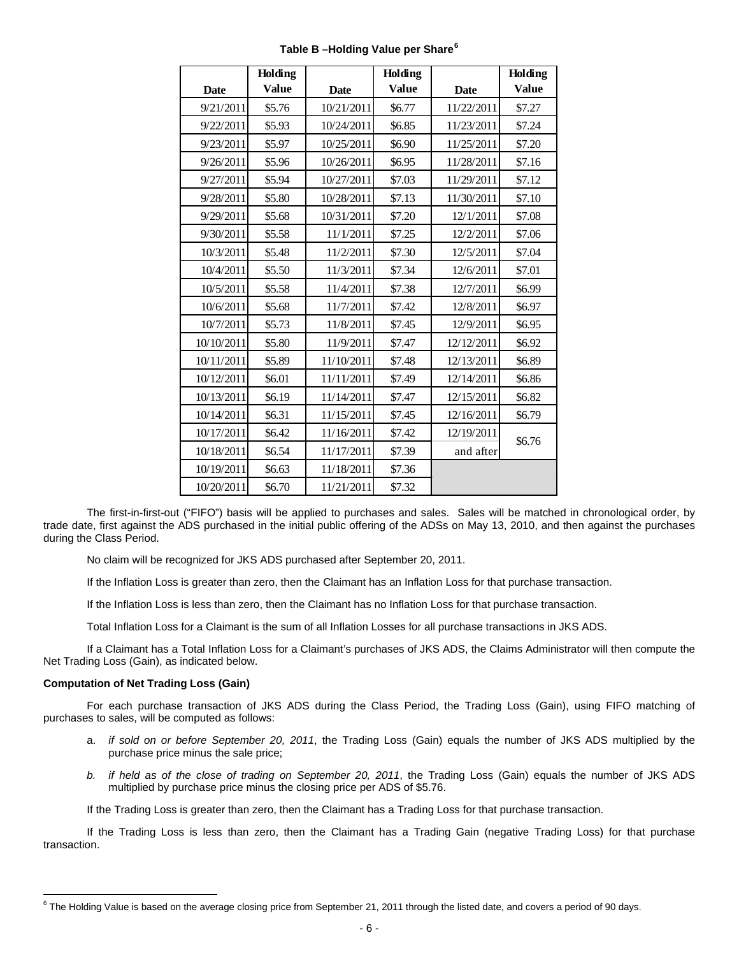|             | Holding |             | Holding      |             | Holding      |
|-------------|---------|-------------|--------------|-------------|--------------|
| <b>Date</b> | Value   | <b>Date</b> | <b>Value</b> | <b>Date</b> | <b>Value</b> |
| 9/21/2011   | \$5.76  | 10/21/2011  | \$6.77       | 11/22/2011  | \$7.27       |
| 9/22/2011   | \$5.93  | 10/24/2011  | \$6.85       | 11/23/2011  | \$7.24       |
| 9/23/2011   | \$5.97  | 10/25/2011  | \$6.90       | 11/25/2011  | \$7.20       |
| 9/26/2011   | \$5.96  | 10/26/2011  | \$6.95       | 11/28/2011  | \$7.16       |
| 9/27/2011   | \$5.94  | 10/27/2011  | \$7.03       | 11/29/2011  | \$7.12       |
| 9/28/2011   | \$5.80  | 10/28/2011  | \$7.13       | 11/30/2011  | \$7.10       |
| 9/29/2011   | \$5.68  | 10/31/2011  | \$7.20       | 12/1/2011   | \$7.08       |
| 9/30/2011   | \$5.58  | 11/1/2011   | \$7.25       | 12/2/2011   | \$7.06       |
| 10/3/2011   | \$5.48  | 11/2/2011   | \$7.30       | 12/5/2011   | \$7.04       |
| 10/4/2011   | \$5.50  | 11/3/2011   | \$7.34       | 12/6/2011   | \$7.01       |
| 10/5/2011   | \$5.58  | 11/4/2011   | \$7.38       | 12/7/2011   | \$6.99       |
| 10/6/2011   | \$5.68  | 11/7/2011   | \$7.42       | 12/8/2011   | \$6.97       |
| 10/7/2011   | \$5.73  | 11/8/2011   | \$7.45       | 12/9/2011   | \$6.95       |
| 10/10/2011  | \$5.80  | 11/9/2011   | \$7.47       | 12/12/2011  | \$6.92       |
| 10/11/2011  | \$5.89  | 11/10/2011  | \$7.48       | 12/13/2011  | \$6.89       |
| 10/12/2011  | \$6.01  | 11/11/2011  | \$7.49       | 12/14/2011  | \$6.86       |
| 10/13/2011  | \$6.19  | 11/14/2011  | \$7.47       | 12/15/2011  | \$6.82       |
| 10/14/2011  | \$6.31  | 11/15/2011  | \$7.45       | 12/16/2011  | \$6.79       |
| 10/17/2011  | \$6.42  | 11/16/2011  | \$7.42       | 12/19/2011  | \$6.76       |
| 10/18/2011  | \$6.54  | 11/17/2011  | \$7.39       | and after   |              |
| 10/19/2011  | \$6.63  | 11/18/2011  | \$7.36       |             |              |
| 10/20/2011  | \$6.70  | 11/21/2011  | \$7.32       |             |              |

**Table B –Holding Value per Share[6](#page-5-0)**

The first-in-first-out ("FIFO") basis will be applied to purchases and sales. Sales will be matched in chronological order, by trade date, first against the ADS purchased in the initial public offering of the ADSs on May 13, 2010, and then against the purchases during the Class Period.

No claim will be recognized for JKS ADS purchased after September 20, 2011.

If the Inflation Loss is greater than zero, then the Claimant has an Inflation Loss for that purchase transaction.

If the Inflation Loss is less than zero, then the Claimant has no Inflation Loss for that purchase transaction.

Total Inflation Loss for a Claimant is the sum of all Inflation Losses for all purchase transactions in JKS ADS.

If a Claimant has a Total Inflation Loss for a Claimant's purchases of JKS ADS, the Claims Administrator will then compute the Net Trading Loss (Gain), as indicated below.

#### **Computation of Net Trading Loss (Gain)**

 $\overline{a}$ 

For each purchase transaction of JKS ADS during the Class Period, the Trading Loss (Gain), using FIFO matching of purchases to sales, will be computed as follows:

- a. *if sold on or before September 20, 2011*, the Trading Loss (Gain) equals the number of JKS ADS multiplied by the purchase price minus the sale price;
- *b. if held as of the close of trading on September 20, 2011*, the Trading Loss (Gain) equals the number of JKS ADS multiplied by purchase price minus the closing price per ADS of \$5.76.

If the Trading Loss is greater than zero, then the Claimant has a Trading Loss for that purchase transaction.

If the Trading Loss is less than zero, then the Claimant has a Trading Gain (negative Trading Loss) for that purchase transaction.

<span id="page-5-0"></span> $6$  The Holding Value is based on the average closing price from September 21, 2011 through the listed date, and covers a period of 90 days.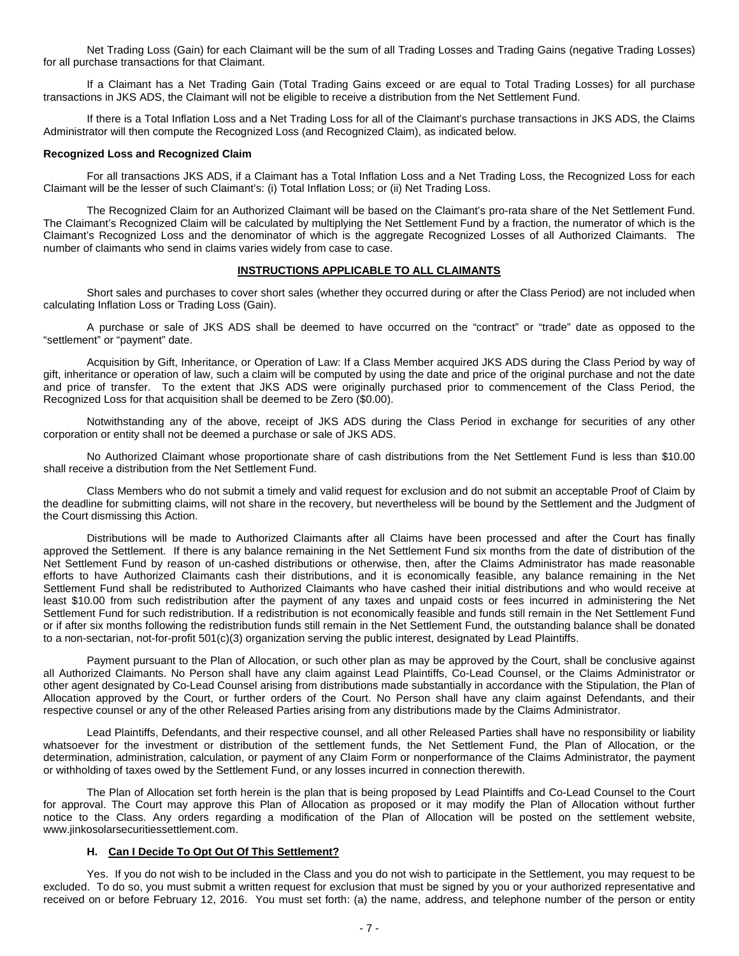Net Trading Loss (Gain) for each Claimant will be the sum of all Trading Losses and Trading Gains (negative Trading Losses) for all purchase transactions for that Claimant.

If a Claimant has a Net Trading Gain (Total Trading Gains exceed or are equal to Total Trading Losses) for all purchase transactions in JKS ADS, the Claimant will not be eligible to receive a distribution from the Net Settlement Fund.

If there is a Total Inflation Loss and a Net Trading Loss for all of the Claimant's purchase transactions in JKS ADS, the Claims Administrator will then compute the Recognized Loss (and Recognized Claim), as indicated below.

#### **Recognized Loss and Recognized Claim**

For all transactions JKS ADS, if a Claimant has a Total Inflation Loss and a Net Trading Loss, the Recognized Loss for each Claimant will be the lesser of such Claimant's: (i) Total Inflation Loss; or (ii) Net Trading Loss.

The Recognized Claim for an Authorized Claimant will be based on the Claimant's pro-rata share of the Net Settlement Fund. The Claimant's Recognized Claim will be calculated by multiplying the Net Settlement Fund by a fraction, the numerator of which is the Claimant's Recognized Loss and the denominator of which is the aggregate Recognized Losses of all Authorized Claimants. The number of claimants who send in claims varies widely from case to case.

#### **INSTRUCTIONS APPLICABLE TO ALL CLAIMANTS**

Short sales and purchases to cover short sales (whether they occurred during or after the Class Period) are not included when calculating Inflation Loss or Trading Loss (Gain).

A purchase or sale of JKS ADS shall be deemed to have occurred on the "contract" or "trade" date as opposed to the "settlement" or "payment" date.

Acquisition by Gift, Inheritance, or Operation of Law: If a Class Member acquired JKS ADS during the Class Period by way of gift, inheritance or operation of law, such a claim will be computed by using the date and price of the original purchase and not the date and price of transfer. To the extent that JKS ADS were originally purchased prior to commencement of the Class Period, the Recognized Loss for that acquisition shall be deemed to be Zero (\$0.00).

Notwithstanding any of the above, receipt of JKS ADS during the Class Period in exchange for securities of any other corporation or entity shall not be deemed a purchase or sale of JKS ADS.

No Authorized Claimant whose proportionate share of cash distributions from the Net Settlement Fund is less than \$10.00 shall receive a distribution from the Net Settlement Fund.

Class Members who do not submit a timely and valid request for exclusion and do not submit an acceptable Proof of Claim by the deadline for submitting claims, will not share in the recovery, but nevertheless will be bound by the Settlement and the Judgment of the Court dismissing this Action.

Distributions will be made to Authorized Claimants after all Claims have been processed and after the Court has finally approved the Settlement. If there is any balance remaining in the Net Settlement Fund six months from the date of distribution of the Net Settlement Fund by reason of un-cashed distributions or otherwise, then, after the Claims Administrator has made reasonable efforts to have Authorized Claimants cash their distributions, and it is economically feasible, any balance remaining in the Net Settlement Fund shall be redistributed to Authorized Claimants who have cashed their initial distributions and who would receive at least \$10.00 from such redistribution after the payment of any taxes and unpaid costs or fees incurred in administering the Net Settlement Fund for such redistribution. If a redistribution is not economically feasible and funds still remain in the Net Settlement Fund or if after six months following the redistribution funds still remain in the Net Settlement Fund, the outstanding balance shall be donated to a non-sectarian, not-for-profit 501(c)(3) organization serving the public interest, designated by Lead Plaintiffs.

Payment pursuant to the Plan of Allocation, or such other plan as may be approved by the Court, shall be conclusive against all Authorized Claimants. No Person shall have any claim against Lead Plaintiffs, Co-Lead Counsel, or the Claims Administrator or other agent designated by Co-Lead Counsel arising from distributions made substantially in accordance with the Stipulation, the Plan of Allocation approved by the Court, or further orders of the Court. No Person shall have any claim against Defendants, and their respective counsel or any of the other Released Parties arising from any distributions made by the Claims Administrator.

Lead Plaintiffs, Defendants, and their respective counsel, and all other Released Parties shall have no responsibility or liability whatsoever for the investment or distribution of the settlement funds, the Net Settlement Fund, the Plan of Allocation, or the determination, administration, calculation, or payment of any Claim Form or nonperformance of the Claims Administrator, the payment or withholding of taxes owed by the Settlement Fund, or any losses incurred in connection therewith.

The Plan of Allocation set forth herein is the plan that is being proposed by Lead Plaintiffs and Co-Lead Counsel to the Court for approval. The Court may approve this Plan of Allocation as proposed or it may modify the Plan of Allocation without further notice to the Class. Any orders regarding a modification of the Plan of Allocation will be posted on the settlement website, www.jinkosolarsecuritiessettlement.com.

### **H. Can I Decide To Opt Out Of This Settlement?**

Yes. If you do not wish to be included in the Class and you do not wish to participate in the Settlement, you may request to be excluded. To do so, you must submit a written request for exclusion that must be signed by you or your authorized representative and received on or before February 12, 2016. You must set forth: (a) the name, address, and telephone number of the person or entity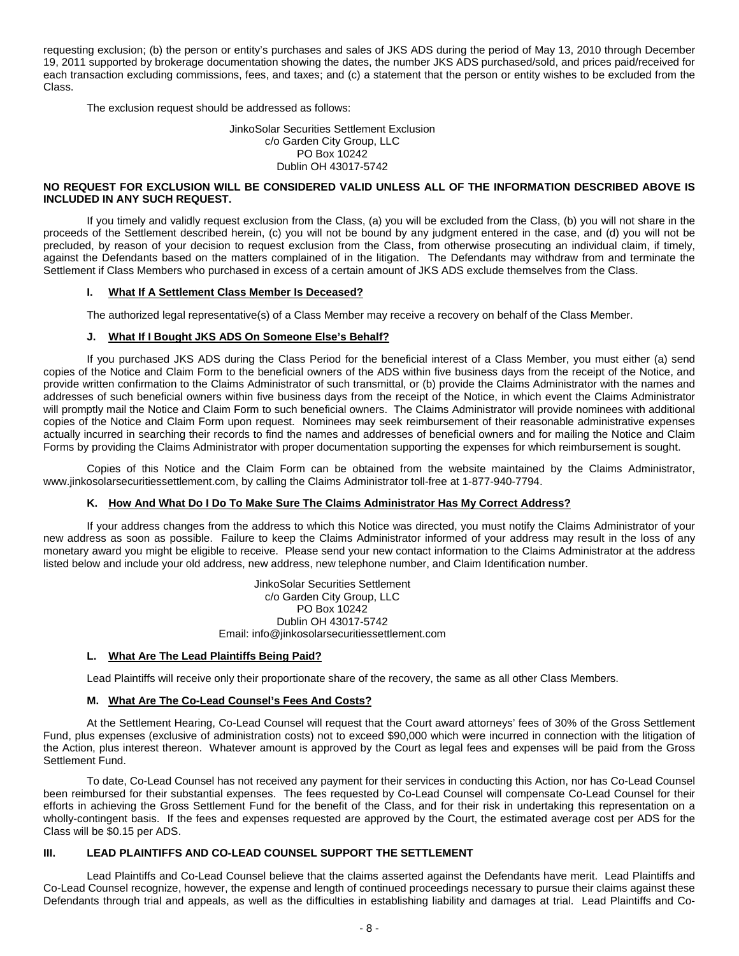requesting exclusion; (b) the person or entity's purchases and sales of JKS ADS during the period of May 13, 2010 through December 19, 2011 supported by brokerage documentation showing the dates, the number JKS ADS purchased/sold, and prices paid/received for each transaction excluding commissions, fees, and taxes; and (c) a statement that the person or entity wishes to be excluded from the Class.

The exclusion request should be addressed as follows:

#### JinkoSolar Securities Settlement Exclusion c/o Garden City Group, LLC PO Box 10242 Dublin OH 43017-5742

### **NO REQUEST FOR EXCLUSION WILL BE CONSIDERED VALID UNLESS ALL OF THE INFORMATION DESCRIBED ABOVE IS INCLUDED IN ANY SUCH REQUEST.**

If you timely and validly request exclusion from the Class, (a) you will be excluded from the Class, (b) you will not share in the proceeds of the Settlement described herein, (c) you will not be bound by any judgment entered in the case, and (d) you will not be precluded, by reason of your decision to request exclusion from the Class, from otherwise prosecuting an individual claim, if timely, against the Defendants based on the matters complained of in the litigation. The Defendants may withdraw from and terminate the Settlement if Class Members who purchased in excess of a certain amount of JKS ADS exclude themselves from the Class.

### **I. What If A Settlement Class Member Is Deceased?**

The authorized legal representative(s) of a Class Member may receive a recovery on behalf of the Class Member.

### **J. What If I Bought JKS ADS On Someone Else's Behalf?**

If you purchased JKS ADS during the Class Period for the beneficial interest of a Class Member, you must either (a) send copies of the Notice and Claim Form to the beneficial owners of the ADS within five business days from the receipt of the Notice, and provide written confirmation to the Claims Administrator of such transmittal, or (b) provide the Claims Administrator with the names and addresses of such beneficial owners within five business days from the receipt of the Notice, in which event the Claims Administrator will promptly mail the Notice and Claim Form to such beneficial owners. The Claims Administrator will provide nominees with additional copies of the Notice and Claim Form upon request. Nominees may seek reimbursement of their reasonable administrative expenses actually incurred in searching their records to find the names and addresses of beneficial owners and for mailing the Notice and Claim Forms by providing the Claims Administrator with proper documentation supporting the expenses for which reimbursement is sought.

Copies of this Notice and the Claim Form can be obtained from the website maintained by the Claims Administrator, www.jinkosolarsecuritiessettlement.com, by calling the Claims Administrator toll-free at 1-877-940-7794.

### **K. How And What Do I Do To Make Sure The Claims Administrator Has My Correct Address?**

If your address changes from the address to which this Notice was directed, you must notify the Claims Administrator of your new address as soon as possible. Failure to keep the Claims Administrator informed of your address may result in the loss of any monetary award you might be eligible to receive. Please send your new contact information to the Claims Administrator at the address listed below and include your old address, new address, new telephone number, and Claim Identification number.

> JinkoSolar Securities Settlement c/o Garden City Group, LLC PO Box 10242 Dublin OH 43017-5742 Email: info@jinkosolarsecuritiessettlement.com

#### **L. What Are The Lead Plaintiffs Being Paid?**

Lead Plaintiffs will receive only their proportionate share of the recovery, the same as all other Class Members.

#### **M. What Are The Co-Lead Counsel's Fees And Costs?**

At the Settlement Hearing, Co-Lead Counsel will request that the Court award attorneys' fees of 30% of the Gross Settlement Fund, plus expenses (exclusive of administration costs) not to exceed \$90,000 which were incurred in connection with the litigation of the Action, plus interest thereon. Whatever amount is approved by the Court as legal fees and expenses will be paid from the Gross Settlement Fund.

To date, Co-Lead Counsel has not received any payment for their services in conducting this Action, nor has Co-Lead Counsel been reimbursed for their substantial expenses. The fees requested by Co-Lead Counsel will compensate Co-Lead Counsel for their efforts in achieving the Gross Settlement Fund for the benefit of the Class, and for their risk in undertaking this representation on a wholly-contingent basis. If the fees and expenses requested are approved by the Court, the estimated average cost per ADS for the Class will be \$0.15 per ADS.

### **III. LEAD PLAINTIFFS AND CO-LEAD COUNSEL SUPPORT THE SETTLEMENT**

Lead Plaintiffs and Co-Lead Counsel believe that the claims asserted against the Defendants have merit. Lead Plaintiffs and Co-Lead Counsel recognize, however, the expense and length of continued proceedings necessary to pursue their claims against these Defendants through trial and appeals, as well as the difficulties in establishing liability and damages at trial. Lead Plaintiffs and Co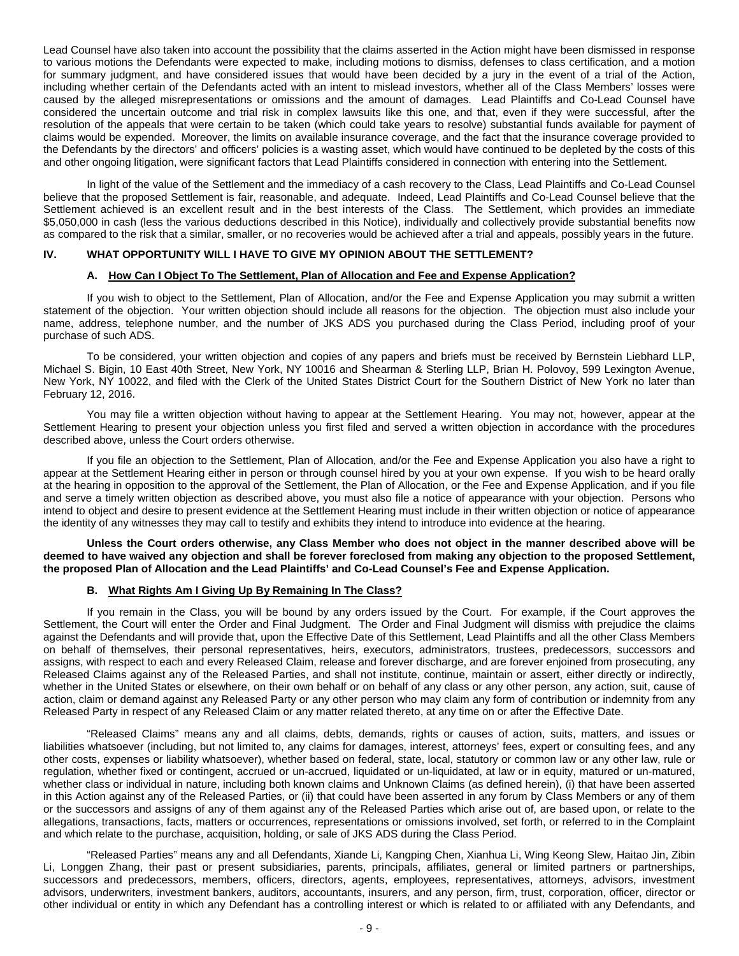Lead Counsel have also taken into account the possibility that the claims asserted in the Action might have been dismissed in response to various motions the Defendants were expected to make, including motions to dismiss, defenses to class certification, and a motion for summary judgment, and have considered issues that would have been decided by a jury in the event of a trial of the Action, including whether certain of the Defendants acted with an intent to mislead investors, whether all of the Class Members' losses were caused by the alleged misrepresentations or omissions and the amount of damages. Lead Plaintiffs and Co-Lead Counsel have considered the uncertain outcome and trial risk in complex lawsuits like this one, and that, even if they were successful, after the resolution of the appeals that were certain to be taken (which could take years to resolve) substantial funds available for payment of claims would be expended. Moreover, the limits on available insurance coverage, and the fact that the insurance coverage provided to the Defendants by the directors' and officers' policies is a wasting asset, which would have continued to be depleted by the costs of this and other ongoing litigation, were significant factors that Lead Plaintiffs considered in connection with entering into the Settlement.

In light of the value of the Settlement and the immediacy of a cash recovery to the Class, Lead Plaintiffs and Co-Lead Counsel believe that the proposed Settlement is fair, reasonable, and adequate. Indeed, Lead Plaintiffs and Co-Lead Counsel believe that the Settlement achieved is an excellent result and in the best interests of the Class. The Settlement, which provides an immediate \$5,050,000 in cash (less the various deductions described in this Notice), individually and collectively provide substantial benefits now as compared to the risk that a similar, smaller, or no recoveries would be achieved after a trial and appeals, possibly years in the future.

#### **IV. WHAT OPPORTUNITY WILL I HAVE TO GIVE MY OPINION ABOUT THE SETTLEMENT?**

#### **A. How Can I Object To The Settlement, Plan of Allocation and Fee and Expense Application?**

If you wish to object to the Settlement, Plan of Allocation, and/or the Fee and Expense Application you may submit a written statement of the objection. Your written objection should include all reasons for the objection. The objection must also include your name, address, telephone number, and the number of JKS ADS you purchased during the Class Period, including proof of your purchase of such ADS.

To be considered, your written objection and copies of any papers and briefs must be received by Bernstein Liebhard LLP, Michael S. Bigin, 10 East 40th Street, New York, NY 10016 and Shearman & Sterling LLP, Brian H. Polovoy, 599 Lexington Avenue, New York, NY 10022, and filed with the Clerk of the United States District Court for the Southern District of New York no later than February 12, 2016.

You may file a written objection without having to appear at the Settlement Hearing. You may not, however, appear at the Settlement Hearing to present your objection unless you first filed and served a written objection in accordance with the procedures described above, unless the Court orders otherwise.

If you file an objection to the Settlement, Plan of Allocation, and/or the Fee and Expense Application you also have a right to appear at the Settlement Hearing either in person or through counsel hired by you at your own expense. If you wish to be heard orally at the hearing in opposition to the approval of the Settlement, the Plan of Allocation, or the Fee and Expense Application, and if you file and serve a timely written objection as described above, you must also file a notice of appearance with your objection. Persons who intend to object and desire to present evidence at the Settlement Hearing must include in their written objection or notice of appearance the identity of any witnesses they may call to testify and exhibits they intend to introduce into evidence at the hearing.

**Unless the Court orders otherwise, any Class Member who does not object in the manner described above will be deemed to have waived any objection and shall be forever foreclosed from making any objection to the proposed Settlement, the proposed Plan of Allocation and the Lead Plaintiffs' and Co-Lead Counsel's Fee and Expense Application.**

#### **B. What Rights Am I Giving Up By Remaining In The Class?**

If you remain in the Class, you will be bound by any orders issued by the Court. For example, if the Court approves the Settlement, the Court will enter the Order and Final Judgment. The Order and Final Judgment will dismiss with prejudice the claims against the Defendants and will provide that, upon the Effective Date of this Settlement, Lead Plaintiffs and all the other Class Members on behalf of themselves, their personal representatives, heirs, executors, administrators, trustees, predecessors, successors and assigns, with respect to each and every Released Claim, release and forever discharge, and are forever enjoined from prosecuting, any Released Claims against any of the Released Parties, and shall not institute, continue, maintain or assert, either directly or indirectly, whether in the United States or elsewhere, on their own behalf or on behalf of any class or any other person, any action, suit, cause of action, claim or demand against any Released Party or any other person who may claim any form of contribution or indemnity from any Released Party in respect of any Released Claim or any matter related thereto, at any time on or after the Effective Date.

"Released Claims" means any and all claims, debts, demands, rights or causes of action, suits, matters, and issues or liabilities whatsoever (including, but not limited to, any claims for damages, interest, attorneys' fees, expert or consulting fees, and any other costs, expenses or liability whatsoever), whether based on federal, state, local, statutory or common law or any other law, rule or regulation, whether fixed or contingent, accrued or un-accrued, liquidated or un-liquidated, at law or in equity, matured or un-matured, whether class or individual in nature, including both known claims and Unknown Claims (as defined herein), (i) that have been asserted in this Action against any of the Released Parties, or (ii) that could have been asserted in any forum by Class Members or any of them or the successors and assigns of any of them against any of the Released Parties which arise out of, are based upon, or relate to the allegations, transactions, facts, matters or occurrences, representations or omissions involved, set forth, or referred to in the Complaint and which relate to the purchase, acquisition, holding, or sale of JKS ADS during the Class Period.

"Released Parties" means any and all Defendants, Xiande Li, Kangping Chen, Xianhua Li, Wing Keong Slew, Haitao Jin, Zibin Li, Longgen Zhang, their past or present subsidiaries, parents, principals, affiliates, general or limited partners or partnerships, successors and predecessors, members, officers, directors, agents, employees, representatives, attorneys, advisors, investment advisors, underwriters, investment bankers, auditors, accountants, insurers, and any person, firm, trust, corporation, officer, director or other individual or entity in which any Defendant has a controlling interest or which is related to or affiliated with any Defendants, and